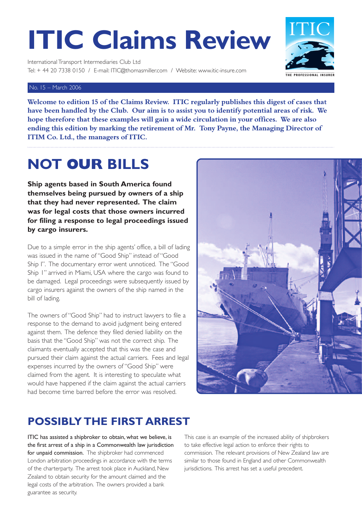# **ITIC Claims Review**

International Transport Intermediaries Club Ltd Tel: + 44 20 7338 0150 / E-mail: ITIC@thomasmiller.com / Website: www.itic-insure.com

#### No. 15 – March 2006

**Welcome to edition 15 of the Claims Review. ITIC regularly publishes this digest of cases that have been handled by the Club. Our aim is to assist you to identify potential areas of risk. We hope therefore that these examples will gain a wide circulation in your offices. We are also ending this edition by marking the retirement of Mr. Tony Payne, the Managing Director of ITIM Co. Ltd., the managers of ITIC.**

## **NOT OUR BILLS**

**Ship agents based in South America found themselves being pursued by owners of a ship that they had never represented. The claim was for legal costs that those owners incurred for filing a response to legal proceedings issued by cargo insurers.**

Due to a simple error in the ship agents' office, a bill of lading was issued in the name of "Good Ship" instead of "Good Ship I". The documentary error went unnoticed. The "Good Ship 1" arrived in Miami, USA where the cargo was found to be damaged. Legal proceedings were subsequently issued by cargo insurers against the owners of the ship named in the bill of lading.

The owners of "Good Ship" had to instruct lawyers to file a response to the demand to avoid judgment being entered against them. The defence they filed denied liability on the basis that the "Good Ship" was not the correct ship. The claimants eventually accepted that this was the case and pursued their claim against the actual carriers. Fees and legal expenses incurred by the owners of "Good Ship" were claimed from the agent. It is interesting to speculate what would have happened if the claim against the actual carriers had become time barred before the error was resolved.



#### **POSSIBLY THE FIRST ARREST**

ITIC has assisted a shipbroker to obtain, what we believe, is the first arrest of a ship in a Commonwealth law jurisdiction for unpaid commission. The shipbroker had commenced London arbitration proceedings in accordance with the terms of the charterparty. The arrest took place in Auckland, New Zealand to obtain security for the amount claimed and the legal costs of the arbitration. The owners provided a bank guarantee as security.

This case is an example of the increased ability of shipbrokers to take effective legal action to enforce their rights to commission. The relevant provisions of New Zealand law are similar to those found in England and other Commonwealth jurisdictions. This arrest has set a useful precedent.

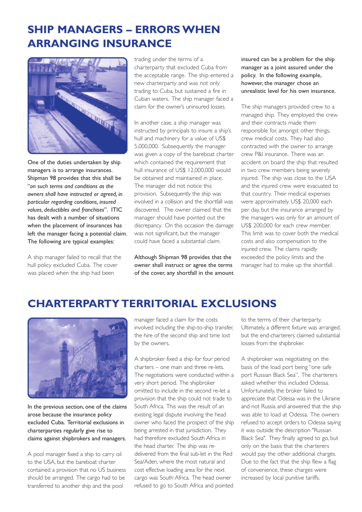#### **SHIP MANAGERS – ERRORS WHEN ARRANGING INSURANCE**



One of the duties undertaken by ship managers is to arrange insurances. Shipman 98 provides that this shall be "*on such terms and conditions as the owners shall have instructed or agreed, in particular regarding conditions, insured values, deductibles and franchises*". ITIC has dealt with a number of situations when the placement of insurances has left the manager facing a potential claim. The following are typical examples:

A ship manager failed to recall that the hull policy excluded Cuba. The cover was placed when the ship had been

trading under the terms of a charterparty that excluded Cuba from the acceptable range. The ship entered a new charterparty and was not only trading to Cuba, but sustained a fire in Cuban waters. The ship manager faced a claim for the owner's uninsured losses.

In another case, a ship manager was instructed by principals to insure a ship's hull and machinery for a value of US\$ 5,000,000. Subsequently the manager was given a copy of the bareboat charter which contained the requirement that hull insurance of US\$ 12,000,000 would be obtained and maintained in place. The manager did not notice this provision. Subsequently the ship was involved in a collision and the shortfall was discovered. The owner claimed that the manager should have pointed out the discrepancy. On this occasion the damage was not significant, but the manager could have faced a substantial claim.

Although Shipman 98 provides that the owner shall instruct or agree the terms of the cover, any shortfall in the amount insured can be a problem for the ship manager as a joint assured under the policy. In the following example, however, the manager chose an unrealistic level for his own insurance.

The ship managers provided crew to a managed ship. They employed the crew and their contracts made them responsible for, amongst other things, crew medical costs. They had also contracted with the owner to arrange crew P&I insurance. There was an accident on board the ship that resulted in two crew members being severely injured. The ship was close to the USA and the injured crew were evacuated to that country. Their medical expenses were approximately US\$ 20,000 each per day, but the insurance arranged by the managers was only for an amount of US\$ 200,000 for each crew member. This limit was to cover both the medical costs and also compensation to the injured crew. The claims rapidly exceeded the policy limits and the manager had to make up the shortfall.

#### **CHARTERPARTY TERRITORIAL EXCLUSIONS**



In the previous section, one of the claims arose because the insurance policy excluded Cuba. Territorial exclusions in charterparties regularly give rise to claims against shipbrokers and managers.

A pool manager fixed a ship to carry oil to the USA, but the bareboat charter contained a provision that no US business should be arranged. The cargo had to be transferred to another ship and the pool

manager faced a claim for the costs involved including the ship-to-ship transfer, the hire of the second ship and time lost by the owners.

A shipbroker fixed a ship for four period charters – one main and three re-lets. The negotiations were conducted within a very short period. The shipbroker omitted to include in the second re-let a provision that the ship could not trade to South Africa. This was the result of an existing legal dispute involving the head owner who faced the prospect of the ship being arrested in that jurisdiction. They had therefore excluded South Africa in the head charter. The ship was redelivered from the final sub-let in the Red Sea/Aden, where the most natural and cost effective loading area for the next cargo was South Africa. The head owner refused to go to South Africa and pointed

to the terms of their charterparty. Ultimately, a different fixture was arranged, but the end-charterers claimed substantial losses from the shipbroker.

A shipbroker was negotiating on the basis of the load port being "one safe port Russian Black Sea". The charterers asked whether this included Odessa. Unfortunately, the broker failed to appreciate that Odessa was in the Ukraine and not Russia and answered that the ship was able to load at Odessa. The owners refused to accept orders to Odessa saying it was outside the description "Russian Black Sea". They finally agreed to go, but only on the basis that the charterers would pay the other additional charges. Due to the fact that the ship flew a flag of convenience, these charges were increased by local punitive tariffs.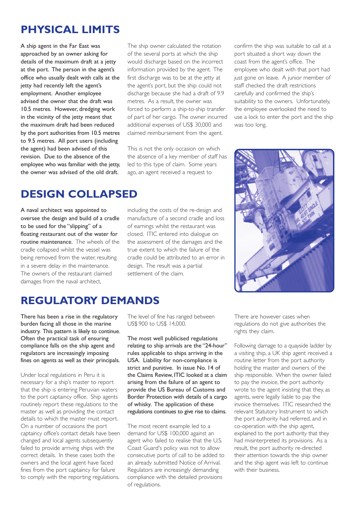#### **PHYSICAL LIMITS**

A ship agent in the Far East was approached by an owner asking for details of the maximum draft at a jetty at the port. The person in the agent's office who usually dealt with calls at the jetty had recently left the agent's employment. Another employee advised the owner that the draft was 10.5 metres. However, dredging work in the vicinity of the jetty meant that the maximum draft had been reduced by the port authorities from 10.5 metres to 9.5 metres. All port users (including the agent) had been advised of this revision. Due to the absence of the employee who was familiar with the jetty, the owner was advised of the old draft.

The ship owner calculated the rotation of the several ports at which the ship would discharge based on the incorrect information provided by the agent. The first discharge was to be at the jetty at the agent's port, but the ship could not discharge because she had a draft of 9.9 metres. As a result, the owner was forced to perform a ship-to-ship transfer of part of her cargo. The owner incurred additional expenses of US\$ 30,000 and claimed reimbursement from the agent.

This is not the only occasion on which the absence of a key member of staff has led to this type of claim. Some years ago, an agent received a request to

**DESIGN COLLAPSED**

A naval architect was appointed to oversee the design and build of a cradle to be used for the "slipping" of a floating restaurant out of the water for routine maintenance. The wheels of the cradle collapsed whilst the vessel was being removed from the water, resulting in a severe delay in the maintenance. The owners of the restaurant claimed damages from the naval architect,

including the costs of the re-design and manufacture of a second cradle and loss of earnings whilst the restaurant was closed. ITIC entered into dialogue on the assessment of the damages and the true extent to which the failure of the cradle could be attributed to an error in design. The result was a partial settlement of the claim.

confirm the ship was suitable to call at a port situated a short way down the coast from the agent's office. The employee who dealt with that port had just gone on leave. A junior member of staff checked the draft restrictions carefully and confirmed the ship's suitability to the owners. Unfortunately, the employee overlooked the need to use a lock to enter the port and the ship was too long.



#### **REGULATORY DEMANDS**

There has been a rise in the regulatory burden facing all those in the marine industry. This pattern is likely to continue. Often the practical task of ensuring compliance falls on the ship agent and regulators are increasingly imposing fines on agents as well as their principals.

Under local regulations in Peru it is necessary for a ship's master to report that the ship is entering Peruvian waters to the port captaincy office. Ship agents routinely report these regulations to the master as well as providing the contact details to which the master must report. On a number of occasions the port captaincy office's contact details have been changed and local agents subsequently failed to provide arriving ships with the correct details. In these cases both the owners and the local agent have faced fines from the port captaincy for failure to comply with the reporting regulations.

The level of fine has ranged between US\$ 900 to US\$ 14,000.

The most well publicised regulations relating to ship arrivals are the "24-hour" rules applicable to ships arriving in the USA. Liability for non-compliance is strict and punitive. In issue No. 14 of the Claims Review, ITIC looked at a claim arising from the failure of an agent to provide the US Bureau of Customs and Border Protection with details of a cargo of whisky. The application of these regulations continues to give rise to claims.

The most recent example led to a demand for US\$ 100,000 against an agent who failed to realise that the U.S. Coast Guard's policy was not to allow consecutive ports of call to be added to an already submitted Notice of Arrival. Regulators are increasingly demanding compliance with the detailed provisions of regulations.

There are however cases when regulations do not give authorities the rights they claim.

Following damage to a quayside ladder by a visiting ship, a UK ship agent received a routine letter from the port authority holding the master and owners of the ship responsible. When the owner failed to pay the invoice, the port authority wrote to the agent insisting that they, as agents, were legally liable to pay the invoice themselves. ITIC researched the relevant Statutory Instrument to which the port authority had referred, and in co-operation with the ship agent, explained to the port authority that they had misinterpreted its provisions. As a result, the port authority re-directed their attention towards the ship owner and the ship agent was left to continue with their business.